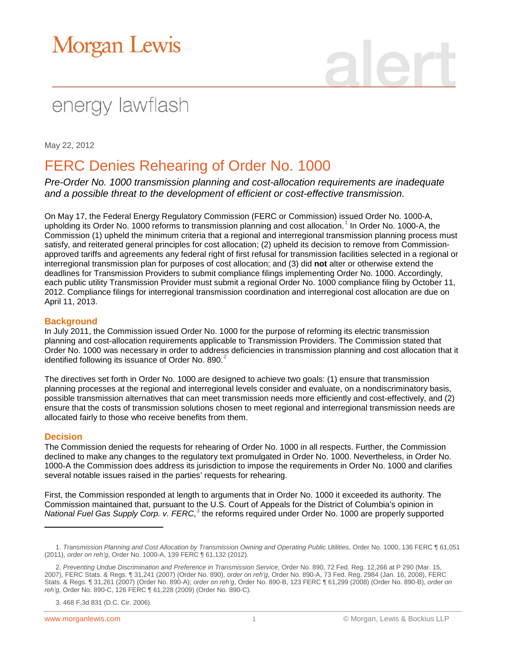# **Morgan Lewis**

## energy lawflash

May 22, 2012

### FERC Denies Rehearing of Order No. 1000

*Pre-Order No. 1000 transmission planning and cost-allocation requirements are inadequate and a possible threat to the development of efficient or cost-effective transmission.* 

On May 17, the Federal Energy Regulatory Commission (FERC or Commission) issued Order No. 1000-A, upholding its Order No. [1](#page-0-0)000 reforms to transmission planning and cost allocation.<sup>1</sup> In Order No. 1000-A, the Commission (1) upheld the minimum criteria that a regional and interregional transmission planning process must satisfy, and reiterated general principles for cost allocation; (2) upheld its decision to remove from Commissionapproved tariffs and agreements any federal right of first refusal for transmission facilities selected in a regional or interregional transmission plan for purposes of cost allocation; and (3) did **not** alter or otherwise extend the deadlines for Transmission Providers to submit compliance filings implementing Order No. 1000. Accordingly, each public utility Transmission Provider must submit a regional Order No. 1000 compliance filing by October 11, 2012. Compliance filings for interregional transmission coordination and interregional cost allocation are due on April 11, 2013.

### **Background**

In July 2011, the Commission issued Order No. 1000 for the purpose of reforming its electric transmission planning and cost-allocation requirements applicable to Transmission Providers. The Commission stated that Order No. 1000 was necessary in order to address deficiencies in transmission planning and cost allocation that it identified following its issuance of Order No. 890. $<sup>2</sup>$  $<sup>2</sup>$  $<sup>2</sup>$ </sup>

The directives set forth in Order No. 1000 are designed to achieve two goals: (1) ensure that transmission planning processes at the regional and interregional levels consider and evaluate, on a nondiscriminatory basis, possible transmission alternatives that can meet transmission needs more efficiently and cost-effectively, and (2) ensure that the costs of transmission solutions chosen to meet regional and interregional transmission needs are allocated fairly to those who receive benefits from them.

#### **Decision**

 $\overline{a}$ 

The Commission denied the requests for rehearing of Order No. 1000 in all respects. Further, the Commission declined to make any changes to the regulatory text promulgated in Order No. 1000. Nevertheless, in Order No. 1000-A the Commission does address its jurisdiction to impose the requirements in Order No. 1000 and clarifies several notable issues raised in the parties' requests for rehearing.

First, the Commission responded at length to arguments that in Order No. 1000 it exceeded its authority. The Commission maintained that, pursuant to the U.S. Court of Appeals for the District of Columbia's opinion in National Fuel Gas Supply Corp. v. FERC,<sup>[3](#page-0-2)</sup> the reforms required under Order No. 1000 are properly supported

<span id="page-0-0"></span><sup>1.</sup> *Transmission Planning and Cost Allocation by Transmission Owning and Operating Public Utilities*, Order No. 1000, 136 FERC ¶ 61,051 (2011), *order on reh'g*, Order No. 1000-A, 139 FERC ¶ 61,132 (2012).

<span id="page-0-1"></span><sup>2.</sup> *Preventing Undue Discrimination and Preference in Transmission Service*, Order No. 890, 72 Fed. Reg. 12,266 at P 290 (Mar. 15, 2007), FERC Stats. & Regs. ¶ 31,241 (2007) (Order No. 890), *order on reh'g*, Order No. 890-A, 73 Fed. Reg. 2984 (Jan. 16, 2008), FERC Stats. & Regs. ¶ 31,261 (2007) (Order No. 890-A); *order on reh'g*, Order No. 890-B, 123 FERC ¶ 61,299 (2008) (Order No. 890-B), *order on reh'g*, Order No. 890-C, 126 FERC ¶ 61,228 (2009) (Order No. 890-C).

<span id="page-0-2"></span><sup>3. 468</sup> F.3d 831 (D.C. Cir. 2006).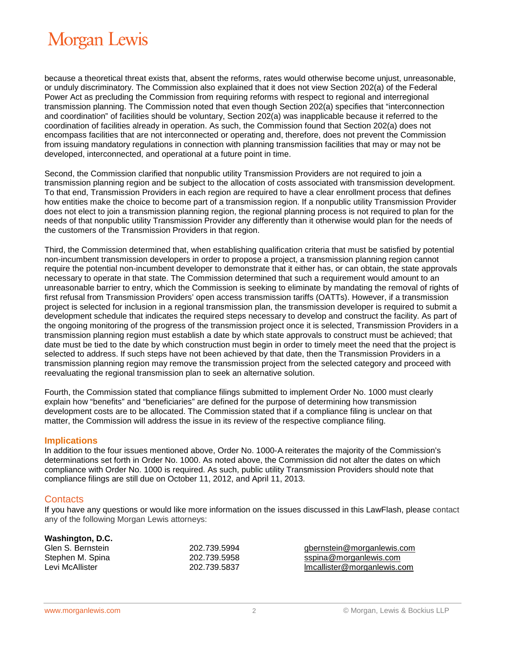### **Morgan Lewis**

because a theoretical threat exists that, absent the reforms, rates would otherwise become unjust, unreasonable, or unduly discriminatory. The Commission also explained that it does not view Section 202(a) of the Federal Power Act as precluding the Commission from requiring reforms with respect to regional and interregional transmission planning. The Commission noted that even though Section 202(a) specifies that "interconnection and coordination" of facilities should be voluntary, Section 202(a) was inapplicable because it referred to the coordination of facilities already in operation. As such, the Commission found that Section 202(a) does not encompass facilities that are not interconnected or operating and, therefore, does not prevent the Commission from issuing mandatory regulations in connection with planning transmission facilities that may or may not be developed, interconnected, and operational at a future point in time.

Second, the Commission clarified that nonpublic utility Transmission Providers are not required to join a transmission planning region and be subject to the allocation of costs associated with transmission development. To that end, Transmission Providers in each region are required to have a clear enrollment process that defines how entities make the choice to become part of a transmission region. If a nonpublic utility Transmission Provider does not elect to join a transmission planning region, the regional planning process is not required to plan for the needs of that nonpublic utility Transmission Provider any differently than it otherwise would plan for the needs of the customers of the Transmission Providers in that region.

Third, the Commission determined that, when establishing qualification criteria that must be satisfied by potential non-incumbent transmission developers in order to propose a project, a transmission planning region cannot require the potential non-incumbent developer to demonstrate that it either has, or can obtain, the state approvals necessary to operate in that state. The Commission determined that such a requirement would amount to an unreasonable barrier to entry, which the Commission is seeking to eliminate by mandating the removal of rights of first refusal from Transmission Providers' open access transmission tariffs (OATTs). However, if a transmission project is selected for inclusion in a regional transmission plan, the transmission developer is required to submit a development schedule that indicates the required steps necessary to develop and construct the facility. As part of the ongoing monitoring of the progress of the transmission project once it is selected, Transmission Providers in a transmission planning region must establish a date by which state approvals to construct must be achieved; that date must be tied to the date by which construction must begin in order to timely meet the need that the project is selected to address. If such steps have not been achieved by that date, then the Transmission Providers in a transmission planning region may remove the transmission project from the selected category and proceed with reevaluating the regional transmission plan to seek an alternative solution.

Fourth, the Commission stated that compliance filings submitted to implement Order No. 1000 must clearly explain how "benefits" and "beneficiaries" are defined for the purpose of determining how transmission development costs are to be allocated. The Commission stated that if a compliance filing is unclear on that matter, the Commission will address the issue in its review of the respective compliance filing.

#### **Implications**

In addition to the four issues mentioned above, Order No. 1000-A reiterates the majority of the Commission's determinations set forth in Order No. 1000. As noted above, the Commission did not alter the dates on which compliance with Order No. 1000 is required. As such, public utility Transmission Providers should note that compliance filings are still due on October 11, 2012, and April 11, 2013.

#### **Contacts**

If you have any questions or would like more information on the issues discussed in this LawFlash, please contact any of the following Morgan Lewis attorneys:

| Washington, D.C.  |           |
|-------------------|-----------|
| Glen S. Bernstein | 202.739.5 |
| Stephen M. Spina  | 202.739.5 |
| Levi McAllister   | 202.739.5 |
|                   |           |

igen S. Bernstein 202.73994<br>1958 generalische Supplike S. Spina 2020.700 generalistiscom<br>1958. [sspina@morganlewis.com](mailto:sspina@morganlewis.com) active Music Manualister 202.7 and the McAllister 202.7 and the McAllister 202.7 and the McAllister 202.5 and